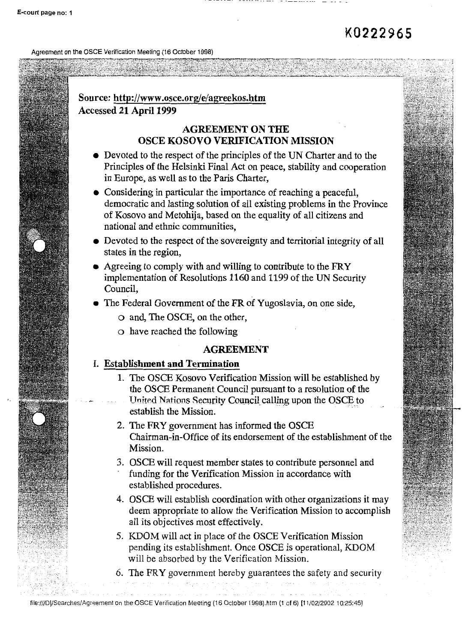Agreement on the OSCE Verification Meeting ( 16 October 1998)

### **Source: http://www.osce.org/e/agreekos.htm Accessed 21 April 1999**

#### **AGREEMENT ON THE OSCE KOSOVO VERIFICATION MISSION**

- Devoted to the respect of the principles of the UN Charter and to the Principles of the Helsinki Final Act on peace, stability and cooperation in Europe, as well as to the Paris Charter,
- Considering in particular the importance of reaching a peaceful, democratic and lasting solution of all existing problems in the Province of Kosovo and Metohija, based on the equality of all citizens and national and ethnic communities,
- Devoted to the respect of the sovereignty and territorial integrity of all states in the region,
- Agreeing to comply with and willing to contribute to the FRY implementation of Resolutions 1160 and 1199 of the UN Security **Council,**
- The Federal Government of the FR of Yugoslavia, on one side,
	- o and, The OSCE, on the other,
	- o have reached the following

#### **AGREEMENT**

#### I. **Establishment and Termination**

- 1. The OSCE Kosovo Verification Mission will be established by the OSCE Permanent Council pursuant to a resolution of the United Nations Security Council calling upon the OSCE to establish the Mission.
- 2. The FRY government has informed the OSCE Chairman-in-Office of its endorsement of the establishment of the Mission.
- 3. OSCE will request member states to contribute personnel and funding for the Verification Mission in accordance with established procedures.
- 4. OSCE will establish coordination with other organizations it may deem appropriate to allow the Verification Mission to accomplish all its objectives most effectively.
- 5. KDOM will act in place of the OSCE Verification Mission pending its establishment. Once OSCE is operational, KDOM will be absorbed by the Verification Mission.
- 6. The FRY government hereby guarantees the safety and security

file:///D|/Searches/Agreement on the OSCE Verification Meeting (16 October 1998).htm (1 of 6) [11/02/2002 10:25:45]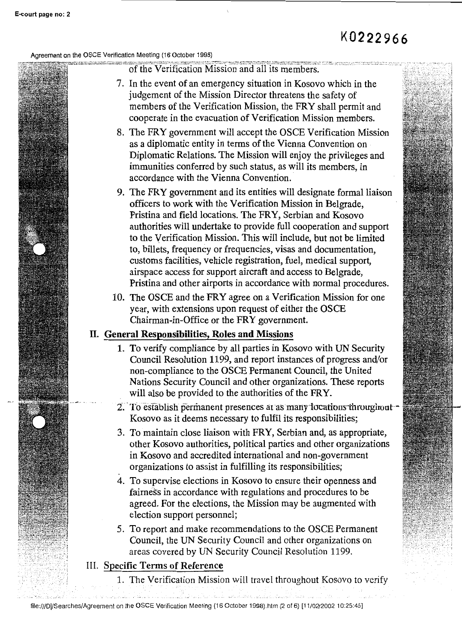#### Agreement on the OSCE Verification Meeting (16 October 1998)

of the Verification Mission and all its members.

- 7. In the event of an emergency situation in Kosovo which in the judgement of the Mission Director threatens the safety of members of the Verification Mission, the FRY shall permit and cooperate in the evacuation of Verification Mission members.
- 8. The FRY government will accept the OSCE Verification Mission as a diplomatic entity in terms of the Vienna Convention on Diplomatic Relations. The Mission will enjoy the privileges and immunities conferred by such status, as will its members, in accordance with the Vienna Convention.
- 9. The FRY government and its entities will designate formal liaison officers to work with the Verification Mission in Belgrade, Pristina and field locations. The FRY, Serbian and Kosovo authorities will undertake to provide full cooperation and support to the Verification Mission. This will include, but not be limited to, billets, frequency or frequencies, visas and documentation, customs facilities, vehicle registration, fuel, medical support, airspace access for support aircraft and access to Belgrade, Pristina and other airports in accordance with normal procedures.
- 10. The OSCE and the FRY agree on a Verification Mission for one year, with extensions upon request of either the OSCE Chairman-in-Office or the FRY government.

#### IL **General Responsibilities, Roles and Missions**

- 1. To verify compliance by all parties in Kosovo with UN Security Council Resolution 1199, and report instances of progress and/or non-compliance to the OSCE Permanent Council, the United Nations Security Council and other organizations. These reports will also be provided to the authorities of the FRY.
- 2. To establish permanent presences at as many locations throughout -Kosovo as it deems necessary to fulfil its responsibilities;
- 3. To maintain close liaison with FRY, Serbian and, as appropriate, other Kosovo authorities, political parties and other organizations in Kosovo and accredited international and non-government organizations to assist in fulfilling its responsibilities;
- 4. To supervise elections in Kosovo to ensure their openness and fairness in accordance with regulations and procedures to be agreed. For the elections, the Mission may be augmented with election support personnel;
- 5. To report and make recommendations to the OSCE Permanent Council, the UN Security Council and other organizations on areas covered by UN Security Council Resolution 1199.
- III. Specific Terms of Reference
	- 1. The Verification Mission will travel throughout Kosovo to verify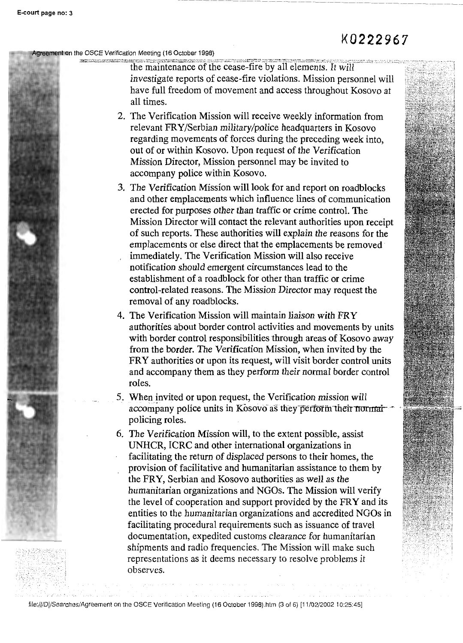ement on the OSCE Verification Meeting (16 October 1998)

THE SERIES CONSTRUCTION OF THE PARTICULAR CONTROL CONTROL CONTROL CONTROL CONTROL CONTROL CONTROL CONTROL CONTROL CONTROL CONTROL CONTROL CONTROL CONTROL CONTROL CONTROL CONTROL CONTROL CONTROL CONTROL CONTROL CONTROL CONT investigate reports of cease-fire violations. Mission personnel will have full freedom of movement and access throughout Kosovo at all times.

- 2. The Verification Mission will receive weekly information from relevant FRY/Serbian military/police headquarters in Kosovo regarding movements of forces during the preceding week into, out of or within Kosovo. Upon request of the Verification Mission Director, Mission personnel may be invited to accompany police within Kosovo.
- 3. The Verification Mission will look for and report on roadblocks and other emplacements which influence lines of communication erected for purposes other than traffic or crime control. The Mission Director will contact the relevant authorities upon receipt of such reports. These authorities will explain the reasons for the emplacements or else direct that the emplacements be removed immediately. The Verification Mission will also receive notification should emergent circumstances lead to the establishment of a roadblock for other than traffic or crime control-related reasons. The Mission Director may request the removal of any roadblocks.
- 4. The Verification Mission will maintain liaison with FRY authorities about border control activities and movements by units with border control responsibilities through areas of Kosovo away from the border. The Verification Mission, when invited by the FRY authorities or upon its request, will visit border control units and accompany them as they perform their normal border control roles.

5. When invited or upon request, the Verification mission will accompany police units in Kosovo as they perform their normal policing roles.

6. The Verification Mission will, to the extent possible, assist UNHCR, ICRC and other international organizations in facilitating the return of displaced persons to their homes, the provision of facilitative and humanitarian assistance to them by the FRY, Serbian and Kosovo authorities as well as the humanitarian organizations and NGOs. The Mission will verify the level of cooperation and support provided by the FRY and its entities to the humanitarian organizations and accredited NGOs in facilitating procedural requirements such as issuance of travel documentation, expedited customs clearance for humanitarian shipments and radio frequencies. The Mission will make such representations as it deems necessary to resolve problems it observes.

file:///O1/Searches/Agreement on the OSCE Verification Meeting (16 October 1998).htm (3 of 6) [11/02/2002 10:25:45]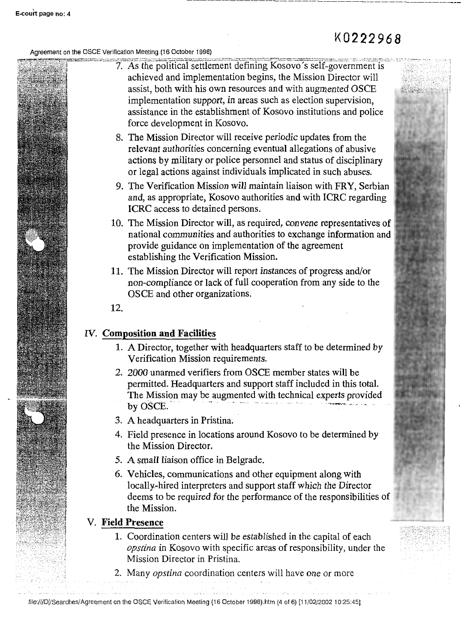Agreement on the OSCE Verification Meeting (16 October 1998)

- 7. As the political settlement defining Kosovo's self-government is achieved and implementation begins, the Mission Director will assist, both with his own resources and with augmented OSCE implementation support, in areas such as election supervision, assistance in the establishment of Kosovo institutions and police force development in Kosovo.
	- 8. The Mission Director will receive periodic updates from the relevant authorities concerning eventual allegations of abusive actions by military or police personnel and status of disciplinary or legal actions against individuals implicated in such abuses.
	- 9. The Verification Mission will maintain liaison with FRY, Serbian and, as appropriate, Kosovo authorities and with ICRC regarding ICRC access to detained persons.
	- 10. The Mission Director will, as required, convene representatives of national communities and authorities to exchange information and provide guidance on implementation of the agreement establishing the Verification Mission.
	- 11. The Mission Director will report instances of progress and/or non-compliance or lack of full cooperation from any side to the OSCE and other organizations.
	- 12.

#### IV. **Composition and Facilities**

- 1. A Director, together with headquarters staff to be determined by Verification Mission requirements.
- 2. 2000 unarmed verifiers from OSCE member states will be permitted. Headquarters and support staff included in this total. The Mission may be augmented with technical experts provided by OSCE.
- 3. A headquarters in Pristina.
- 4. Field presence in locations around Kosovo to be determined by the Mission Director.
- 5. A small liaison office in Belgrade.
- 6. Vehicles, communications and other equipment along with locally.-hired interpreters and support staff which the Director deems to be required for the performance of the responsibilities of the Mission.

#### V. **Field Presence**

- 1. Coordination centers will be established in the capital of each *opstina* in Kosovo with specific areas of responsibility, under the Mission Director in Pristina.
- 2. Many *opstina* coordination centers will have one or more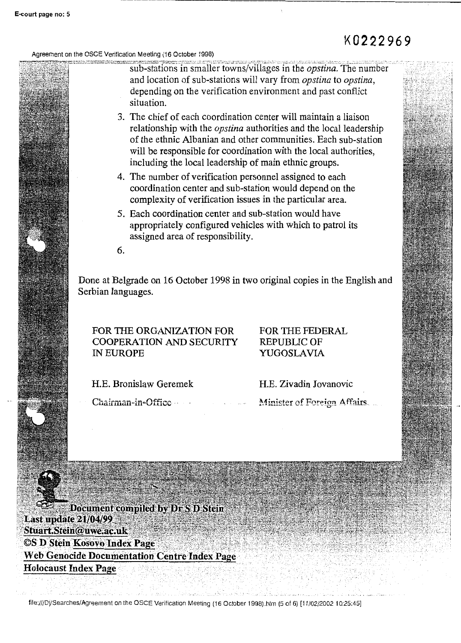------

Agreement on the OSCE Verification Meeting (16 October 1998)

sub-stations in smaller towns/villages in the *opstina*. The number and location of sub-stations will vary from *opstina* to *opstina,*  depending on the verification environment and past conflict situation.

--- --- --- --- --- --- ------ --- --- --- --- ------ --- --- ------ --- --- ------ --- --- ------ --- ---

- 3. The chief of each coordination center will maintain a liaison relationship with the *opstina* authorities and the local leadership of the ethnic Albanian and other communities. Each sub-station will be responsible for coordination with the local authorities, including the local leadership of main ethnic groups.
- 4. The number of verification personnel assigned to each coordination center and sub-station would depend on the complexity of verification issues in the particular area.
- 5. Each coordination center and sub-station would have appropriately configured vehicles with which to patrol its assigned area of responsibility.

6.

Done at Belgrade on 16 October 1998 in two original copies in the English and Serbian languages.

FOR THE ORGANIZATION FOR COOPERATION AND SECURITY IN EUROPE

FOR THE FEDERAL REPUBLIC OF YUGOSLAVIA

H.E. Bronislaw Geremek

Chairman-in-Office

H.E. Zivadin Jovanovic Minister of Foreign Affairs.

Document compiled by Dr S D. Stein Last update 21/04/99 Stuart.Stein@uwe.ac.uk **©S D Stein Kosovo Index Page Web Genocide Documentation Centre Index Page Holocaust Index Page** 

file:///D|/Searches/Agreement on the OSCE Verification Meeting (16 October 1998).htm (5 of 6) [11/02/2002 10:25:45]